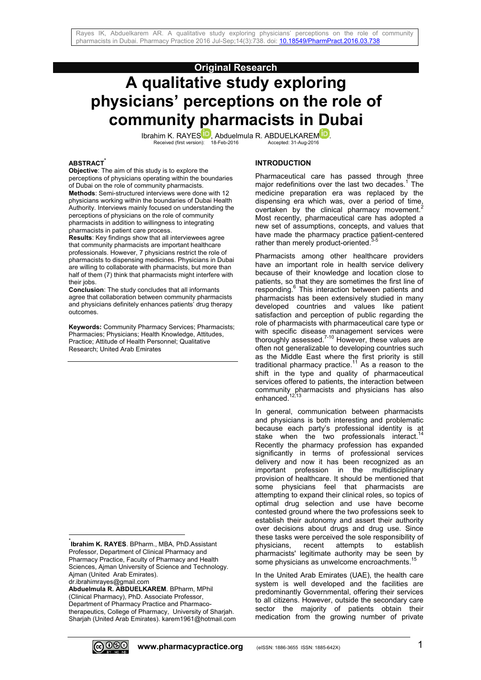## **Original Research**

# **A qualitative study exploring physicians' perceptions on the role of community pharmacists in Dubai**

Ibrahim K. RAYE[S](http://orcid.org/0000-0001-6663-8830)<sup>UD</sup>, Abduelmula R. ABDUELKARE[M](http://orcid.org/0000-0003-4481-7779) ...<br>Received (first version): 18-Feb-2016 ... Accepted: 31-Aug-2016

#### **ABSTRACT\***

**Objective**: The aim of this study is to explore the perceptions of physicians operating within the boundaries of Dubai on the role of community pharmacists. **Methods**: Semi-structured interviews were done with 12 physicians working within the boundaries of Dubai Health Authority. Interviews mainly focused on understanding the perceptions of physicians on the role of community

pharmacists in addition to willingness to integrating pharmacists in patient care process.

**Results**: Key findings show that all interviewees agree that community pharmacists are important healthcare professionals. However, 7 physicians restrict the role of pharmacists to dispensing medicines. Physicians in Dubai are willing to collaborate with pharmacists, but more than half of them (7) think that pharmacists might interfere with their jobs.

**Conclusion**: The study concludes that all informants agree that collaboration between community pharmacists and physicians definitely enhances patients' drug therapy outcomes.

**Keywords:** Community Pharmacy Services; Pharmacists; Pharmacies; Physicians; Health Knowledge, Attitudes, Practice; Attitude of Health Personnel; Qualitative Research; United Arab Emirates

\* **Ibrahim K. RAYES**. BPharm., MBA, PhD.Assistant Professor, Department of Clinical Pharmacy and Pharmacy Practice, Faculty of Pharmacy and Health Sciences, Ajman University of Science and Technology. Ajman (United Arab Emirates).

dr.ibrahimrayes@gmail.com

 $\frac{1}{2}$ 

**Abduelmula R. ABDUELKAREM**. BPharm, MPhil (Clinical Pharmacy), PhD. Associate Professor, Department of Pharmacy Practice and Pharmacotherapeutics, College of Pharmacy, University of Sharjah. Sharjah (United Arab Emirates). karem1961@hotmail.com

#### **INTRODUCTION**

Pharmaceutical care has passed through three major redefinitions over the last two decades.<sup>1</sup> The medicine preparation era was replaced by the dispensing era which was, over a period of time, overtaken by the clinical pharmacy movement.<sup>2</sup> Most recently, pharmaceutical care has adopted a new set of assumptions, concepts, and values that have made the pharmacy practice patient-centered rather than merely product-oriented.<sup>3</sup>

Pharmacists among other healthcare providers have an important role in health service delivery because of their knowledge and location close to patients, so that they are sometimes the first line of responding.<sup>6</sup> This interaction between patients and pharmacists has been extensively studied in many developed countries and values like patient satisfaction and perception of public regarding the role of pharmacists with pharmaceutical care type or with specific disease management services were thoroughly assessed.<sup>7-10</sup> However, these values are often not generalizable to developing countries such as the Middle East where the first priority is still traditional pharmacy practice.<sup>11</sup> As a reason to the shift in the type and quality of pharmaceutical services offered to patients, the interaction between community pharmacists and physicians has also enhanced.

In general, communication between pharmacists and physicians is both interesting and problematic because each party's professional identity is at stake when the two professionals interact. Recently the pharmacy profession has expanded significantly in terms of professional services delivery and now it has been recognized as an important profession in the multidisciplinary provision of healthcare. It should be mentioned that some physicians feel that pharmacists are attempting to expand their clinical roles, so topics of optimal drug selection and use have become contested ground where the two professions seek to establish their autonomy and assert their authority over decisions about drugs and drug use. Since these tasks were perceived the sole responsibility of physicians, recent attempts to establish pharmacists' legitimate authority may be seen by some physicians as unwelcome encroachments. L

In the United Arab Emirates (UAE), the health care system is well developed and the facilities are predominantly Governmental, offering their services to all citizens. However, outside the secondary care sector the majority of patients obtain their medication from the growing number of private

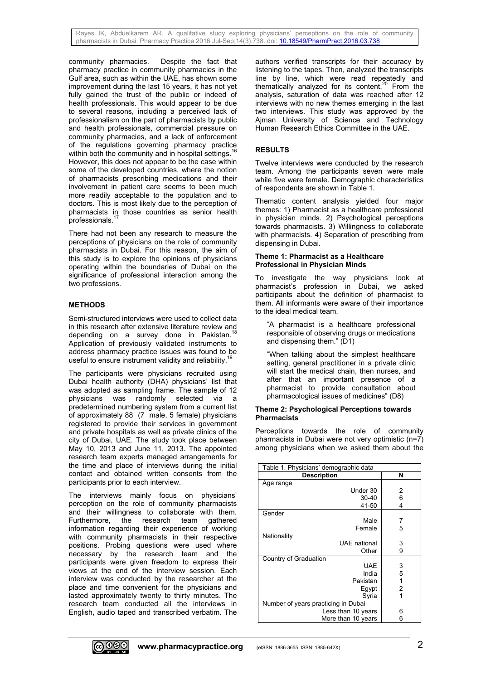Rayes IK, Abduelkarem AR. A qualitative study exploring physicians' perceptions on the role of community pharmacists in Dubai. Pharmacy Practice 2016 Jul-Sep;14(3):738. doi: [10.18549/PharmPract.2016.03.738](https://doi.org/10.18549/PharmPract.2016.03.738)

community pharmacies. Despite the fact that pharmacy practice in community pharmacies in the Gulf area, such as within the UAE, has shown some improvement during the last 15 years, it has not yet fully gained the trust of the public or indeed of health professionals. This would appear to be due to several reasons, including a perceived lack of professionalism on the part of pharmacists by public and health professionals, commercial pressure on community pharmacies, and a lack of enforcement of the regulations governing pharmacy practice within both the community and in hospital settings. However, this does not appear to be the case within some of the developed countries, where the notion of pharmacists prescribing medications and their involvement in patient care seems to been much more readily acceptable to the population and to doctors. This is most likely due to the perception of pharmacists in those countries as senior health professionals.<sup>1</sup>

There had not been any research to measure the perceptions of physicians on the role of community pharmacists in Dubai. For this reason, the aim of this study is to explore the opinions of physicians operating within the boundaries of Dubai on the significance of professional interaction among the two professions.

## **METHODS**

Semi-structured interviews were used to collect data in this research after extensive literature review and depending on a survey done in Pakistan.<sup>1</sup> Application of previously validated instruments to address pharmacy practice issues was found to be useful to ensure instrument validity and reliability.<sup>1</sup>

The participants were physicians recruited using Dubai health authority (DHA) physicians' list that was adopted as sampling frame. The sample of 12 physicians was randomly selected via predetermined numbering system from a current list of approximately 88 (7 male, 5 female) physicians registered to provide their services in government and private hospitals as well as private clinics of the city of Dubai, UAE. The study took place between May 10, 2013 and June 11, 2013. The appointed research team experts managed arrangements for the time and place of interviews during the initial contact and obtained written consents from the participants prior to each interview.

The interviews mainly focus on physicians' perception on the role of community pharmacists and their willingness to collaborate with them. Furthermore, the research team gathered information regarding their experience of working with community pharmacists in their respective positions. Probing questions were used where necessary by the research team and the participants were given freedom to express their views at the end of the interview session. Each interview was conducted by the researcher at the place and time convenient for the physicians and lasted approximately twenty to thirty minutes. The research team conducted all the interviews in English, audio taped and transcribed verbatim. The

authors verified transcripts for their accuracy by listening to the tapes. Then, analyzed the transcripts line by line, which were read repeatedly and line by line, which were read repeatedly and thematically analyzed for its content.<sup>20</sup> From the analysis, saturation of data was reached after 12 interviews with no new themes emerging in the last two interviews. This study was approved by the Ajman University of Science and Technology Human Research Ethics Committee in the UAE.

## **RESULTS**

Twelve interviews were conducted by the research team. Among the participants seven were male while five were female. Demographic characteristics of respondents are shown in Table 1.

Thematic content analysis yielded four major themes: 1) Pharmacist as a healthcare professional in physician minds. 2) Psychological perceptions towards pharmacists. 3) Willingness to collaborate with pharmacists. 4) Separation of prescribing from dispensing in Dubai.

#### **Theme 1: Pharmacist as a Healthcare Professional in Physician Minds**

To investigate the way physicians look at pharmacist's profession in Dubai, we asked participants about the definition of pharmacist to them. All informants were aware of their importance to the ideal medical team.

"A pharmacist is a healthcare professional responsible of observing drugs or medications and dispensing them." (D1)

"When talking about the simplest healthcare setting, general practitioner in a private clinic will start the medical chain, then nurses, and after that an important presence of a pharmacist to provide consultation about pharmacological issues of medicines" (D8)

#### **Theme 2: Psychological Perceptions towards Pharmacists**

Perceptions towards the role of community pharmacists in Dubai were not very optimistic (n=7) among physicians when we asked them about the

| Table 1. Physicians' demographic data |   |
|---------------------------------------|---|
|                                       |   |
| <b>Description</b>                    | N |
| Age range                             |   |
| Under 30                              | 2 |
| $30 - 40$                             | 6 |
| 41-50                                 | 4 |
| Gender                                |   |
| Male                                  | 7 |
| Female                                | 5 |
| Nationality                           |   |
| <b>UAE</b> national                   | 3 |
| Other                                 | 9 |
| Country of Graduation                 |   |
| <b>UAE</b>                            | 3 |
| India                                 | 5 |
| Pakistan                              | 1 |
| Egypt                                 | 2 |
| Syria                                 | 1 |
| Number of years practicing in Dubai   |   |
| Less than 10 years                    | 6 |
| More than 10 years                    | 6 |

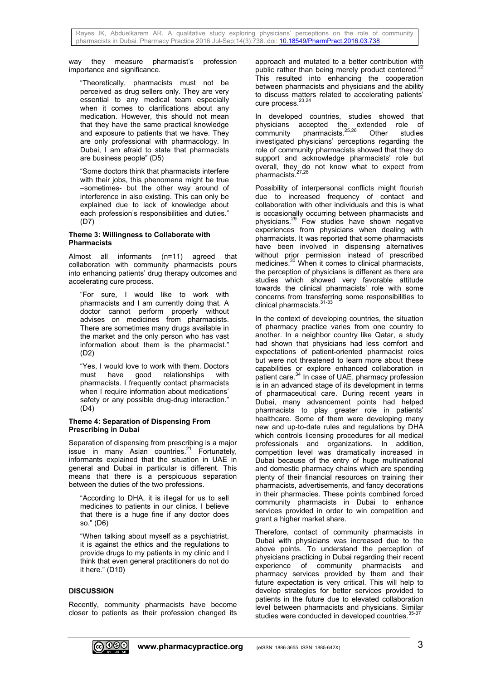way they measure pharmacist's profession importance and significance.

"Theoretically, pharmacists must not be perceived as drug sellers only. They are very essential to any medical team especially when it comes to clarifications about any medication. However, this should not mean that they have the same practical knowledge and exposure to patients that we have. They are only professional with pharmacology. In Dubai, I am afraid to state that pharmacists are business people" (D5)

"Some doctors think that pharmacists interfere with their jobs, this phenomena might be true –sometimes- but the other way around of interference in also existing. This can only be explained due to lack of knowledge about each profession's responsibilities and duties." (D7)

### **Theme 3: Willingness to Collaborate with Pharmacists**

Almost all informants (n=11) agreed that collaboration with community pharmacists pours into enhancing patients' drug therapy outcomes and accelerating cure process.

"For sure, I would like to work with pharmacists and I am currently doing that. A doctor cannot perform properly without advises on medicines from pharmacists. There are sometimes many drugs available in the market and the only person who has vast information about them is the pharmacist." (D2)

"Yes, I would love to work with them. Doctors<br>must bave good relationships with have good relationships with pharmacists. I frequently contact pharmacists when I require information about medications' safety or any possible drug-drug interaction." (D4)

## **Theme 4: Separation of Dispensing From Prescribing in Dubai**

Separation of dispensing from prescribing is a major issue in many Asian countries.<sup>21</sup> Fortunately, informants explained that the situation in UAE in general and Dubai in particular is different. This means that there is a perspicuous separation between the duties of the two professions.

"According to DHA, it is illegal for us to sell medicines to patients in our clinics. I believe that there is a huge fine if any doctor does so." (D6)

"When talking about myself as a psychiatrist, it is against the ethics and the regulations to provide drugs to my patients in my clinic and I think that even general practitioners do not do it here." (D10)

# **DISCUSSION**

Recently, community pharmacists have become closer to patients as their profession changed its approach and mutated to a better contribution with public rather than being merely product centered.<sup>2</sup> This resulted into enhancing the cooperation between pharmacists and physicians and the ability to discuss matters related to accelerating patients' cure process.<sup>23,24</sup>

In developed countries, studies showed that physicians accepted the extended role of community pharmacists. $25,26$  Other studies investigated physicians' perceptions regarding the role of community pharmacists showed that they do support and acknowledge pharmacists' role but overall, they do not know what to expect from pharmacists.<sup>27,28</sup>

Possibility of interpersonal conflicts might flourish due to increased frequency of contact and collaboration with other individuals and this is what is occasionally occurring between pharmacists and physicians.<sup>29</sup> Few studies have shown negative experiences from physicians when dealing with pharmacists. It was reported that some pharmacists have been involved in dispensing alternatives without prior permission instead of prescribed mated photographic potential medicines.<sup>30</sup> When it comes to clinical pharmacists, the perception of physicians is different as there are studies which showed very favorable attitude towards the clinical pharmacists' role with some concerns from transferring some responsibilities to clinical pharmacists.<sup>31-33</sup>

In the context of developing countries, the situation of pharmacy practice varies from one country to another. In a neighbor country like Qatar, a study had shown that physicians had less comfort and expectations of patient-oriented pharmacist roles but were not threatened to learn more about these capabilities or explore enhanced collaboration in patient care.<sup>34</sup> In case of UAE, pharmacy profession is in an advanced stage of its development in terms of pharmaceutical care. During recent years in Dubai, many advancement points had helped pharmacists to play greater role in patients' healthcare. Some of them were developing many new and up-to-date rules and regulations by DHA which controls licensing procedures for all medical professionals and organizations. In addition, competition level was dramatically increased in Dubai because of the entry of huge multinational and domestic pharmacy chains which are spending plenty of their financial resources on training their pharmacists, advertisements, and fancy decorations in their pharmacies. These points combined forced community pharmacists in Dubai to enhance services provided in order to win competition and grant a higher market share.

Therefore, contact of community pharmacists in Dubai with physicians was increased due to the above points. To understand the perception of physicians practicing in Dubai regarding their recent experience of community pharmacists and pharmacy services provided by them and their future expectation is very critical. This will help to develop strategies for better services provided to patients in the future due to elevated collaboration level between pharmacists and physicians. Similar studies were conducted in developed countries. 35-37

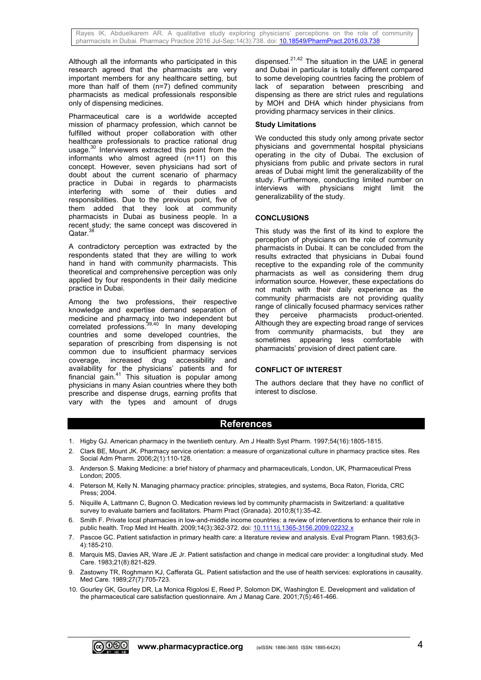Although all the informants who participated in this research agreed that the pharmacists are very important members for any healthcare setting, but more than half of them (n=7) defined community pharmacists as medical professionals responsible only of dispensing medicines.

Pharmaceutical care is a worldwide accepted mission of pharmacy profession, which cannot be fulfilled without proper collaboration with other healthcare professionals to practice rational drug usage.<sup>30</sup> Interviewers extracted this point from the informants who almost agreed (n=11) on this concept. However, seven physicians had sort of doubt about the current scenario of pharmacy practice in Dubai in regards to pharmacists interfering with some of their duties and responsibilities. Due to the previous point, five of them added that they look at community pharmacists in Dubai as business people. In a recent study; the same concept was discovered in Qatar.<sup>38</sup>

A contradictory perception was extracted by the respondents stated that they are willing to work hand in hand with community pharmacists. This theoretical and comprehensive perception was only applied by four respondents in their daily medicine practice in Dubai.

Among the two professions, their respective knowledge and expertise demand separation of medicine and pharmacy into two independent but correlated professions.<sup>39,40</sup> In many developing countries and some developed countries, the separation of prescribing from dispensing is not common due to insufficient pharmacy services coverage, increased drug accessibility and availability for the physicians' patients and for financial gain. $41$  This situation is popular among physicians in many Asian countries where they both prescribe and dispense drugs, earning profits that vary with the types and amount of drugs

dispensed. $21,42$  The situation in the UAE in general and Dubai in particular is totally different compared to some developing countries facing the problem of lack of separation between prescribing and dispensing as there are strict rules and regulations by MOH and DHA which hinder physicians from providing pharmacy services in their clinics.

## **Study Limitations**

We conducted this study only among private sector physicians and governmental hospital physicians operating in the city of Dubai. The exclusion of physicians from public and private sectors in rural areas of Dubai might limit the generalizability of the study. Furthermore, conducting limited number on interviews with physicians might limit the generalizability of the study.

## **CONCLUSIONS**

This study was the first of its kind to explore the perception of physicians on the role of community pharmacists in Dubai. It can be concluded from the results extracted that physicians in Dubai found receptive to the expanding role of the community pharmacists as well as considering them drug information source. However, these expectations do not match with their daily experience as the community pharmacists are not providing quality range of clinically focused pharmacy services rather they perceive pharmacists product-oriented. Although they are expecting broad range of services from community pharmacists, but they are sometimes appearing less comfortable with pharmacists' provision of direct patient care.

# **CONFLICT OF INTEREST**

The authors declare that they have no conflict of interest to disclose.

# **References**

- 1. Higby GJ. American pharmacy in the twentieth century. Am J Health Syst Pharm. 1997;54(16):1805-1815.
- 2. Clark BE, Mount JK. Pharmacy service orientation: a measure of organizational culture in pharmacy practice sites. Res Social Adm Pharm. 2006;2(1):110-128.
- 3. Anderson S. Making Medicine: a brief history of pharmacy and pharmaceuticals, London, UK, Pharmaceutical Press London; 2005.
- 4. Peterson M, Kelly N. Managing pharmacy practice: principles, strategies, and systems, Boca Raton, Florida, CRC Press; 2004.
- 5. Niquille A, Lattmann C, Bugnon O. Medication reviews led by community pharmacists in Switzerland: a qualitative survey to evaluate barriers and facilitators. Pharm Pract (Granada). 2010;8(1):35-42.
- 6. Smith F. Private local pharmacies in low-and-middle income countries: a review of interventions to enhance their role in public health. Trop Med Int Health. 2009;14(3):362-372. doi[: 10.1111/j.1365-3156.2009.02232.x](https://doi.org/10.1111/j.1365-3156.2009.02232.x)
- 7. Pascoe GC. Patient satisfaction in primary health care: a literature review and analysis. Eval Program Plann. 1983;6(3- 4):185-210.
- 8. Marquis MS, Davies AR, Ware JE Jr. Patient satisfaction and change in medical care provider: a longitudinal study. Med Care. 1983;21(8):821-829.
- 9. Zastowny TR, Roghmann KJ, Cafferata GL. Patient satisfaction and the use of health services: explorations in causality. Med Care. 1989;27(7):705-723.
- 10. Gourley GK, Gourley DR, La Monica Rigolosi E, Reed P, Solomon DK, Washington E. Development and validation of the pharmaceutical care satisfaction questionnaire. Am J Manag Care. 2001;7(5):461-466.